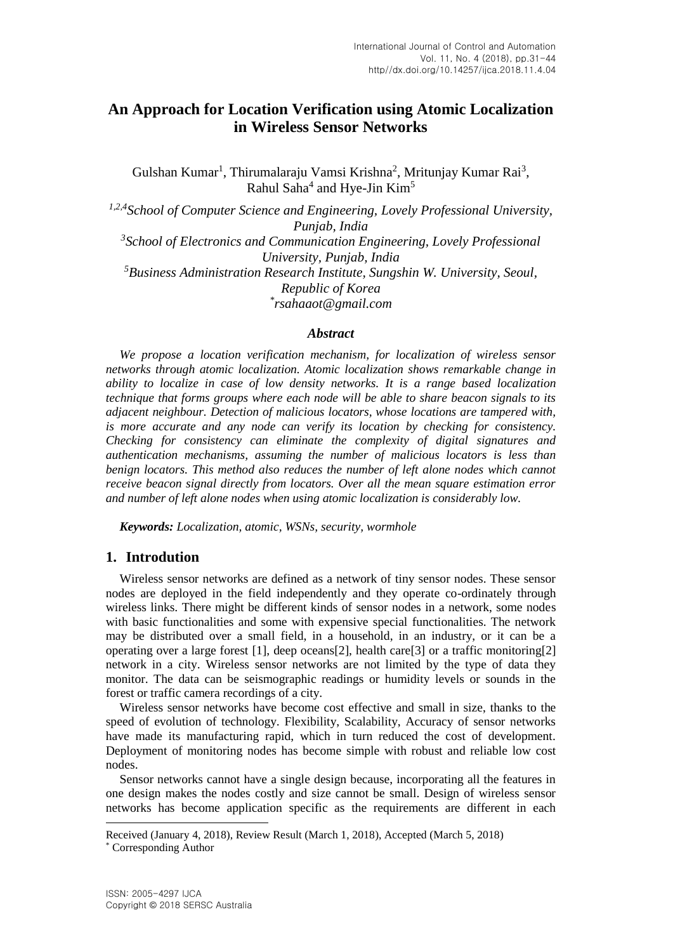# **An Approach for Location Verification using Atomic Localization in Wireless Sensor Networks**

Gulshan Kumar<sup>1</sup>, Thirumalaraju Vamsi Krishna<sup>2</sup>, Mritunjay Kumar Rai<sup>3</sup>, Rahul Saha<sup>4</sup> and Hye-Jin Kim<sup>5</sup>

<sup>1,2,4</sup> School of Computer Science and Engineering, Lovely Professional University, *Punjab, India* <sup>3</sup> School of Electronics and Communication Engineering, Lovely Professional *University, Punjab, India <sup>5</sup>Business Administration Research Institute, Sungshin W. University, Seoul, Republic of Korea \* rsahaaot@gmail.com*

#### *Abstract*

*We propose a location verification mechanism, for localization of wireless sensor networks through atomic localization. Atomic localization shows remarkable change in ability to localize in case of low density networks. It is a range based localization technique that forms groups where each node will be able to share beacon signals to its adjacent neighbour. Detection of malicious locators, whose locations are tampered with, is more accurate and any node can verify its location by checking for consistency. Checking for consistency can eliminate the complexity of digital signatures and authentication mechanisms, assuming the number of malicious locators is less than benign locators. This method also reduces the number of left alone nodes which cannot receive beacon signal directly from locators. Over all the mean square estimation error and number of left alone nodes when using atomic localization is considerably low.*

*Keywords: Localization, atomic, WSNs, security, wormhole*

### **1. Introdution**

Wireless sensor networks are defined as a network of tiny sensor nodes. These sensor nodes are deployed in the field independently and they operate co-ordinately through wireless links. There might be different kinds of sensor nodes in a network, some nodes with basic functionalities and some with expensive special functionalities. The network may be distributed over a small field, in a household, in an industry, or it can be a operating over a large forest [1], deep oceans[2], health care[3] or a traffic monitoring[2] network in a city. Wireless sensor networks are not limited by the type of data they monitor. The data can be seismographic readings or humidity levels or sounds in the forest or traffic camera recordings of a city.

Wireless sensor networks have become cost effective and small in size, thanks to the speed of evolution of technology. Flexibility, Scalability, Accuracy of sensor networks have made its manufacturing rapid, which in turn reduced the cost of development. Deployment of monitoring nodes has become simple with robust and reliable low cost nodes.

Sensor networks cannot have a single design because, incorporating all the features in one design makes the nodes costly and size cannot be small. Design of wireless sensor networks has become application specific as the requirements are different in each

l

Received (January 4, 2018), Review Result (March 1, 2018), Accepted (March 5, 2018)

<sup>\*</sup> Corresponding Author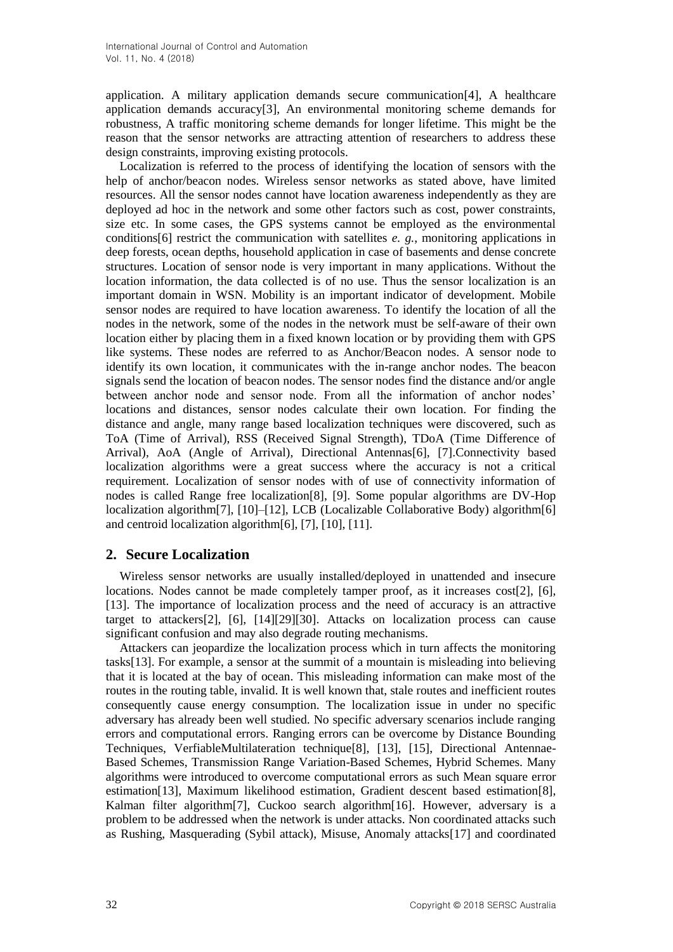application. A military application demands secure communication[4], A healthcare application demands accuracy[3], An environmental monitoring scheme demands for robustness, A traffic monitoring scheme demands for longer lifetime. This might be the reason that the sensor networks are attracting attention of researchers to address these design constraints, improving existing protocols.

Localization is referred to the process of identifying the location of sensors with the help of anchor/beacon nodes. Wireless sensor networks as stated above, have limited resources. All the sensor nodes cannot have location awareness independently as they are deployed ad hoc in the network and some other factors such as cost, power constraints, size etc. In some cases, the GPS systems cannot be employed as the environmental conditions[6] restrict the communication with satellites *e. g.*, monitoring applications in deep forests, ocean depths, household application in case of basements and dense concrete structures. Location of sensor node is very important in many applications. Without the location information, the data collected is of no use. Thus the sensor localization is an important domain in WSN. Mobility is an important indicator of development. Mobile sensor nodes are required to have location awareness. To identify the location of all the nodes in the network, some of the nodes in the network must be self-aware of their own location either by placing them in a fixed known location or by providing them with GPS like systems. These nodes are referred to as Anchor/Beacon nodes. A sensor node to identify its own location, it communicates with the in-range anchor nodes. The beacon signals send the location of beacon nodes. The sensor nodes find the distance and/or angle between anchor node and sensor node. From all the information of anchor nodes' locations and distances, sensor nodes calculate their own location. For finding the distance and angle, many range based localization techniques were discovered, such as ToA (Time of Arrival), RSS (Received Signal Strength), TDoA (Time Difference of Arrival), AoA (Angle of Arrival), Directional Antennas[6], [7].Connectivity based localization algorithms were a great success where the accuracy is not a critical requirement. Localization of sensor nodes with of use of connectivity information of nodes is called Range free localization[8], [9]. Some popular algorithms are DV-Hop localization algorithm[7], [10]–[12], LCB (Localizable Collaborative Body) algorithm[6] and centroid localization algorithm[6], [7], [10], [11].

# **2. Secure Localization**

Wireless sensor networks are usually installed/deployed in unattended and insecure locations. Nodes cannot be made completely tamper proof, as it increases cost[2], [6], [13]. The importance of localization process and the need of accuracy is an attractive target to attackers[2], [6], [14][29][30]. Attacks on localization process can cause significant confusion and may also degrade routing mechanisms.

Attackers can jeopardize the localization process which in turn affects the monitoring tasks[13]. For example, a sensor at the summit of a mountain is misleading into believing that it is located at the bay of ocean. This misleading information can make most of the routes in the routing table, invalid. It is well known that, stale routes and inefficient routes consequently cause energy consumption. The localization issue in under no specific adversary has already been well studied. No specific adversary scenarios include ranging errors and computational errors. Ranging errors can be overcome by Distance Bounding Techniques, VerfiableMultilateration technique[8], [13], [15], Directional Antennae-Based Schemes, Transmission Range Variation-Based Schemes, Hybrid Schemes. Many algorithms were introduced to overcome computational errors as such Mean square error estimation[13], Maximum likelihood estimation, Gradient descent based estimation[8], Kalman filter algorithm[7], Cuckoo search algorithm[16]. However, adversary is a problem to be addressed when the network is under attacks. Non coordinated attacks such as Rushing, Masquerading (Sybil attack), Misuse, Anomaly attacks[17] and coordinated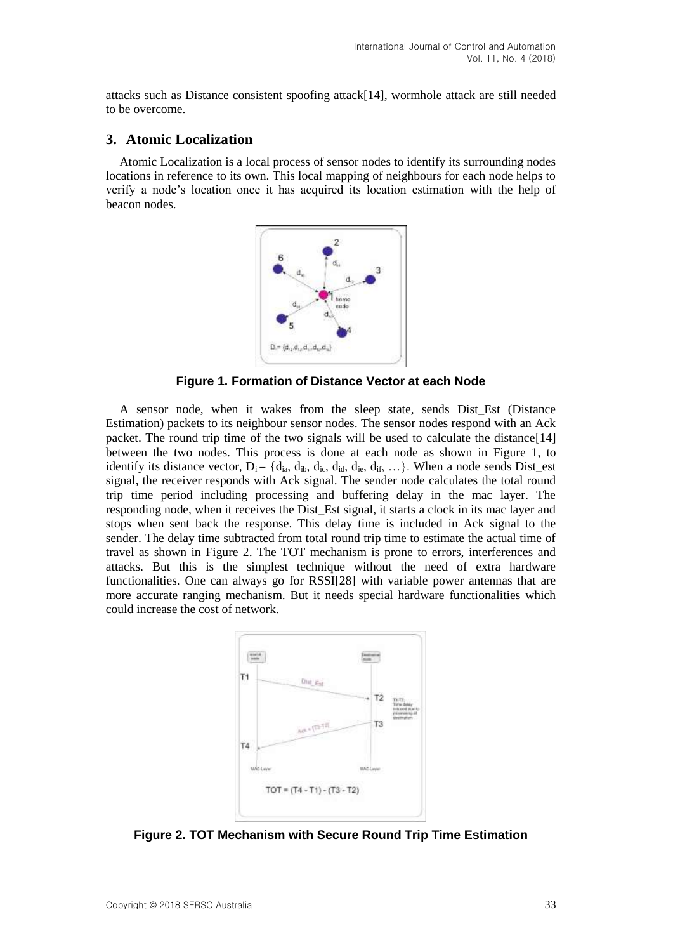attacks such as Distance consistent spoofing attack[14], wormhole attack are still needed to be overcome.

#### **3. Atomic Localization**

<span id="page-2-0"></span>Atomic Localization is a local process of sensor nodes to identify its surrounding nodes locations in reference to its own. This local mapping of neighbours for each node helps to verify a node's location once it has acquired its location estimation with the help of beacon nodes.



**Figure 1. Formation of Distance Vector at each Node**

A sensor node, when it wakes from the sleep state, sends Dist\_Est (Distance Estimation) packets to its neighbour sensor nodes. The sensor nodes respond with an Ack packet. The round trip time of the two signals will be used to calculate the distance[14] between the two nodes. This process is done at each node as shown in [Figure 1,](#page-2-0) to identify its distance vector,  $D_i = \{d_{ia}, d_{ib}, d_{ic}, d_{id}, d_{ic}, d_{if}, ... \}$ . When a node sends Dist\_est signal, the receiver responds with Ack signal. The sender node calculates the total round trip time period including processing and buffering delay in the mac layer. The responding node, when it receives the Dist\_Est signal, it starts a clock in its mac layer and stops when sent back the response. This delay time is included in Ack signal to the sender. The delay time subtracted from total round trip time to estimate the actual time of travel as shown in [Figure 2.](#page-2-1) The TOT mechanism is prone to errors, interferences and attacks. But this is the simplest technique without the need of extra hardware functionalities. One can always go for RSSI[28] with variable power antennas that are more accurate ranging mechanism. But it needs special hardware functionalities which could increase the cost of network.

<span id="page-2-1"></span>

**Figure 2. TOT Mechanism with Secure Round Trip Time Estimation**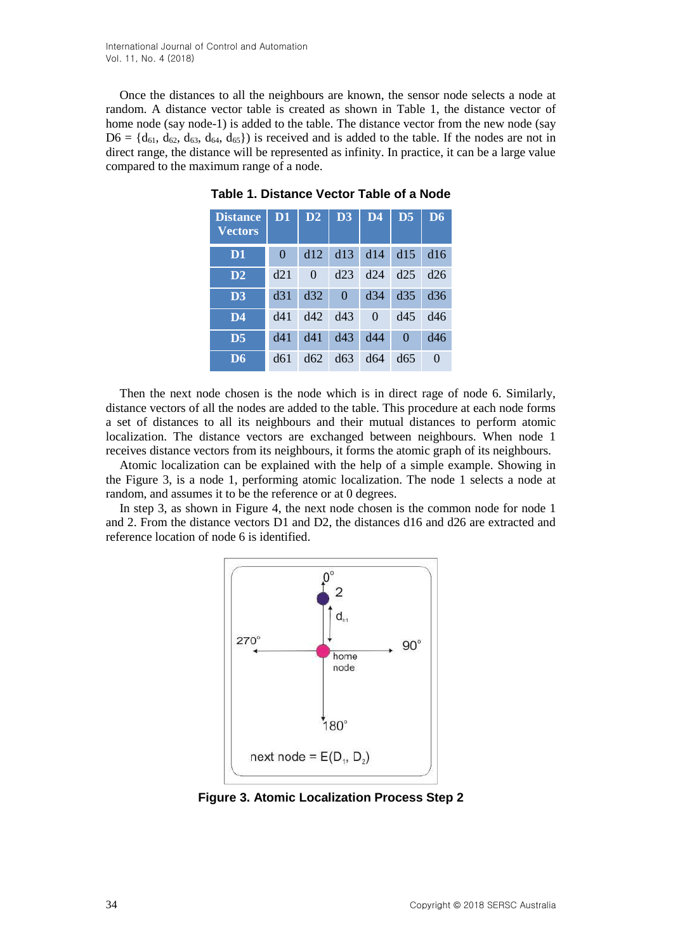Once the distances to all the neighbours are known, the sensor node selects a node at random. A distance vector table is created as shown in [Table 1,](#page-3-0) the distance vector of home node (say node-1) is added to the table. The distance vector from the new node (say  $D6 = \{d_{61}, d_{62}, d_{63}, d_{64}, d_{65}\}\$  is received and is added to the table. If the nodes are not in direct range, the distance will be represented as infinity. In practice, it can be a large value compared to the maximum range of a node.

| <b>Distance</b><br><b>Vectors</b> | D <sub>1</sub> | D2       | D3       | D <sub>4</sub> | D <sub>5</sub> | D <sub>6</sub> |
|-----------------------------------|----------------|----------|----------|----------------|----------------|----------------|
| D <sub>1</sub>                    | $\theta$       | d12      | d13      | d14            | d15            | d16            |
| D2                                | d21            | $\Omega$ | d23      | d24            | d25            | d26            |
| D <sub>3</sub>                    | d31            | d32      | $\Omega$ | d34            | d35            | d36            |
| D <sub>4</sub>                    | d41            | d42      | d43      | $\Omega$       | d45            | d46            |
| $\overline{D}5$                   | d41            | d41      | d43      | d44            | $\Omega$       | d46            |
| D <sub>6</sub>                    | d61            | d62      | d63      | d64            | d65            | $\Omega$       |

<span id="page-3-0"></span>**Table 1. [Distance Vector Table](#page-3-0) of a Node**

Then the next node chosen is the node which is in direct rage of node 6. Similarly, distance vectors of all the nodes are added to the table. This procedure at each node forms a set of distances to all its neighbours and their mutual distances to perform atomic localization. The distance vectors are exchanged between neighbours. When node 1 receives distance vectors from its neighbours, it forms the atomic graph of its neighbours.

Atomic localization can be explained with the help of a simple example. Showing in the [Figure 3,](#page-3-1) is a node 1, performing atomic localization. The node 1 selects a node at random, and assumes it to be the reference or at 0 degrees.

<span id="page-3-1"></span>In step 3, as shown in [Figure 4,](#page-4-0) the next node chosen is the common node for node 1 and 2. From the distance vectors D1 and D2, the distances d16 and d26 are extracted and reference location of node 6 is identified.



**Figure 3. Atomic Localization Process Step 2**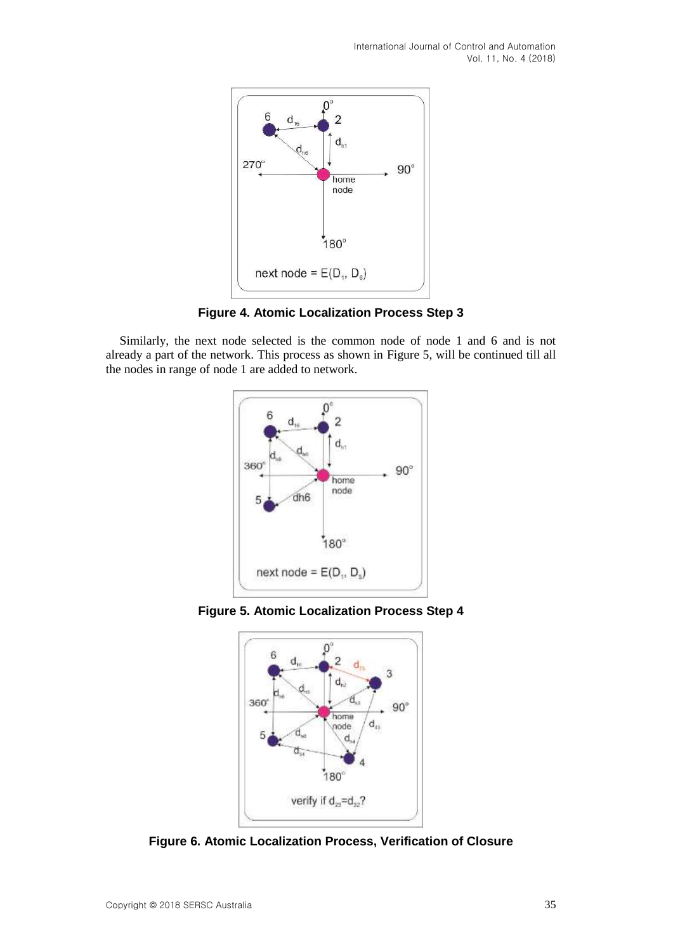International Journal of Control and Automation Vol. 11, No. 4 (2018)

<span id="page-4-0"></span>

**Figure 4. Atomic Localization Process Step 3**

<span id="page-4-1"></span>Similarly, the next node selected is the common node of node 1 and 6 and is not already a part of the network. This process as shown in [Figure 5,](#page-4-1) will be continued till all the nodes in range of node 1 are added to network.



<span id="page-4-2"></span>**Figure 5. Atomic Localization Process Step 4**



**Figure 6. Atomic Localization Process, Verification of Closure**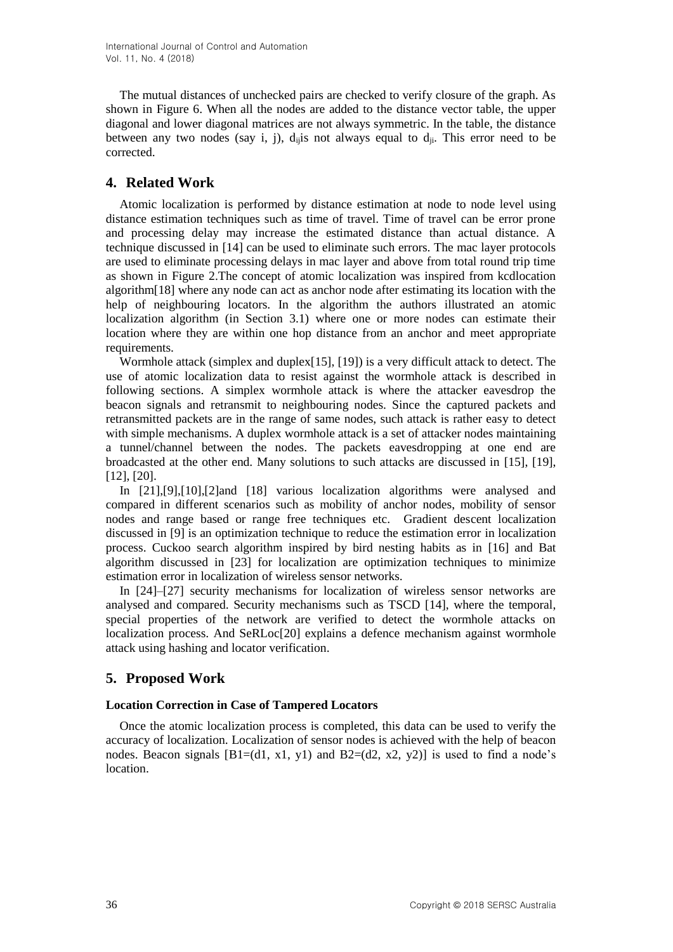The mutual distances of unchecked pairs are checked to verify closure of the graph. As shown in [Figure 6.](#page-4-2) When all the nodes are added to the distance vector table, the upper diagonal and lower diagonal matrices are not always symmetric. In the table, the distance between any two nodes (say i, j),  $d_{ij}$  is not always equal to  $d_{ij}$ . This error need to be corrected.

## **4. Related Work**

Atomic localization is performed by distance estimation at node to node level using distance estimation techniques such as time of travel. Time of travel can be error prone and processing delay may increase the estimated distance than actual distance. A technique discussed in [14] can be used to eliminate such errors. The mac layer protocols are used to eliminate processing delays in mac layer and above from total round trip time as shown in [Figure 2.](#page-2-1)The concept of atomic localization was inspired from kcdlocation algorithm[18] where any node can act as anchor node after estimating its location with the help of neighbouring locators. In the algorithm the authors illustrated an atomic localization algorithm (in Section 3.1) where one or more nodes can estimate their location where they are within one hop distance from an anchor and meet appropriate requirements.

Wormhole attack (simplex and duplex[15], [19]) is a very difficult attack to detect. The use of atomic localization data to resist against the wormhole attack is described in following sections. A simplex wormhole attack is where the attacker eavesdrop the beacon signals and retransmit to neighbouring nodes. Since the captured packets and retransmitted packets are in the range of same nodes, such attack is rather easy to detect with simple mechanisms. A duplex wormhole attack is a set of attacker nodes maintaining a tunnel/channel between the nodes. The packets eavesdropping at one end are broadcasted at the other end. Many solutions to such attacks are discussed in [15], [19], [12], [20].

In [21],[9],[10],[2]and [18] various localization algorithms were analysed and compared in different scenarios such as mobility of anchor nodes, mobility of sensor nodes and range based or range free techniques etc. Gradient descent localization discussed in [9] is an optimization technique to reduce the estimation error in localization process. Cuckoo search algorithm inspired by bird nesting habits as in [16] and Bat algorithm discussed in [23] for localization are optimization techniques to minimize estimation error in localization of wireless sensor networks.

In [24]–[27] security mechanisms for localization of wireless sensor networks are analysed and compared. Security mechanisms such as TSCD [14], where the temporal, special properties of the network are verified to detect the wormhole attacks on localization process. And SeRLoc[20] explains a defence mechanism against wormhole attack using hashing and locator verification.

# **5. Proposed Work**

### **Location Correction in Case of Tampered Locators**

Once the atomic localization process is completed, this data can be used to verify the accuracy of localization. Localization of sensor nodes is achieved with the help of beacon nodes. Beacon signals  $[B1=(d1, x1, y1)$  and  $B2=(d2, x2, y2)$  is used to find a node's location.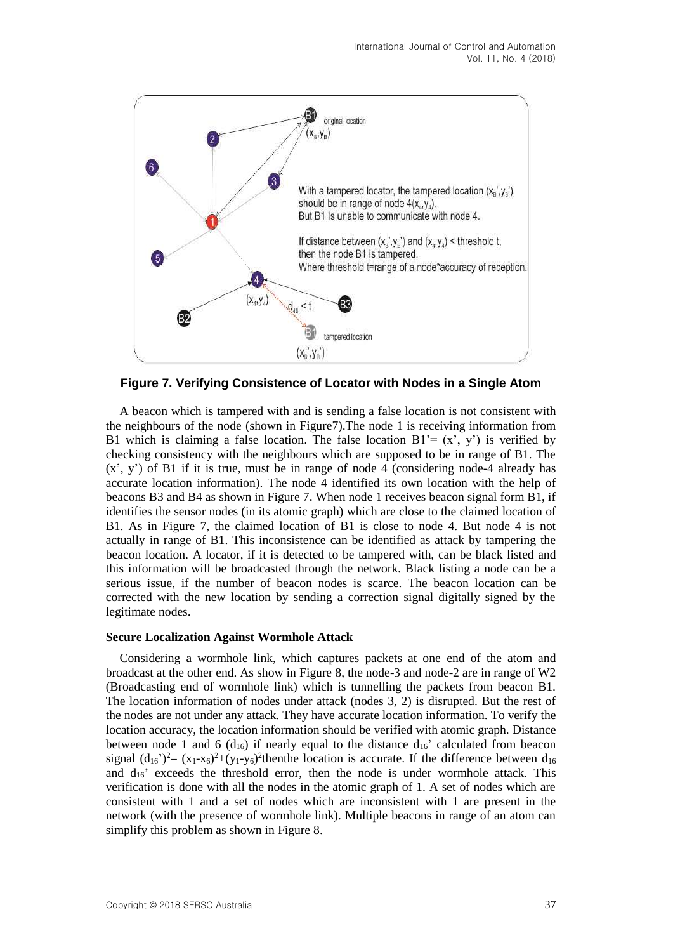<span id="page-6-0"></span>

**Figure 7. Verifying Consistence of Locator with Nodes in a Single Atom**

A beacon which is tampered with and is sending a false location is not consistent with the neighbours of the node (shown in [Figure7\)](#page-6-0).The node 1 is receiving information from B1 which is claiming a false location. The false location  $B1 = (x', y')$  is verified by checking consistency with the neighbours which are supposed to be in range of B1. The  $(x', y')$  of B1 if it is true, must be in range of node 4 (considering node-4 already has accurate location information). The node 4 identified its own location with the help of beacons B3 and B4 as shown in [Figure](#page-6-0) 7. When node 1 receives beacon signal form B1, if identifies the sensor nodes (in its atomic graph) which are close to the claimed location of B1. As in Figure 7, the claimed location of B1 is close to node 4. But node 4 is not actually in range of B1. This inconsistence can be identified as attack by tampering the beacon location. A locator, if it is detected to be tampered with, can be black listed and this information will be broadcasted through the network. Black listing a node can be a serious issue, if the number of beacon nodes is scarce. The beacon location can be corrected with the new location by sending a correction signal digitally signed by the legitimate nodes.

#### **Secure Localization Against Wormhole Attack**

Considering a wormhole link, which captures packets at one end of the atom and broadcast at the other end. As show in [Figure](#page-7-0) 8, the node-3 and node-2 are in range of W2 (Broadcasting end of wormhole link) which is tunnelling the packets from beacon B1. The location information of nodes under attack (nodes 3, 2) is disrupted. But the rest of the nodes are not under any attack. They have accurate location information. To verify the location accuracy, the location information should be verified with atomic graph. Distance between node 1 and 6 ( $d_{16}$ ) if nearly equal to the distance  $d_{16}$ ' calculated from beacon signal  $(d_{16})^2 = (x_1-x_6)^2 + (y_1-y_6)^2$ thenthe location is accurate. If the difference between  $d_{16}$ and  $d_{16}$ ' exceeds the threshold error, then the node is under wormhole attack. This verification is done with all the nodes in the atomic graph of 1. A set of nodes which are consistent with 1 and a set of nodes which are inconsistent with 1 are present in the network (with the presence of wormhole link). Multiple beacons in range of an atom can simplify this problem as shown i[n Figure 8](#page-7-0).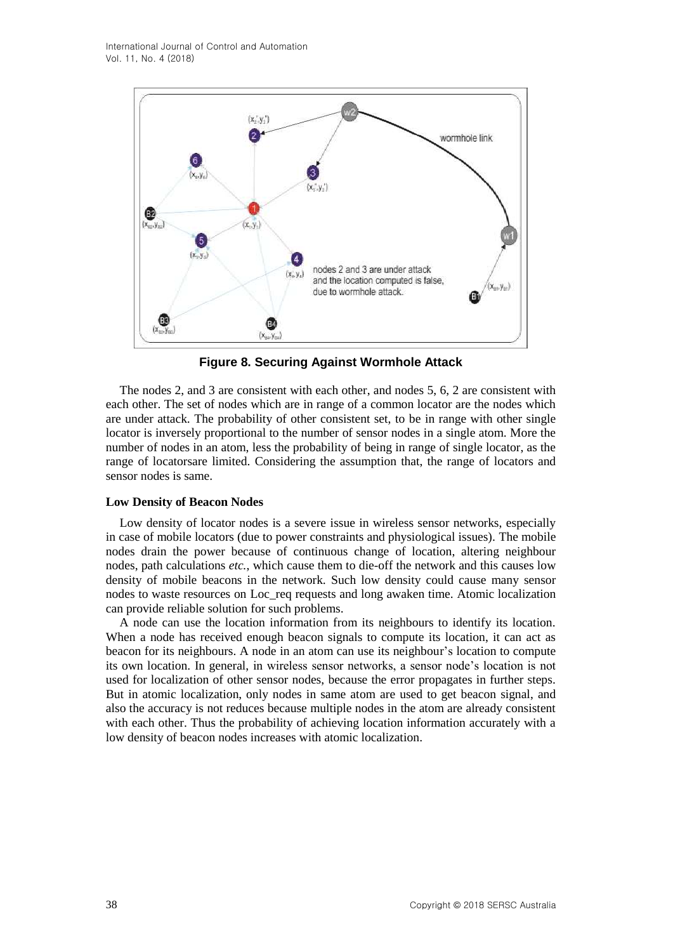<span id="page-7-0"></span>

**Figure 8. Securing Against Wormhole Attack**

The nodes 2, and 3 are consistent with each other, and nodes 5, 6, 2 are consistent with each other. The set of nodes which are in range of a common locator are the nodes which are under attack. The probability of other consistent set, to be in range with other single locator is inversely proportional to the number of sensor nodes in a single atom. More the number of nodes in an atom, less the probability of being in range of single locator, as the range of locatorsare limited. Considering the assumption that, the range of locators and sensor nodes is same.

### **Low Density of Beacon Nodes**

Low density of locator nodes is a severe issue in wireless sensor networks, especially in case of mobile locators (due to power constraints and physiological issues). The mobile nodes drain the power because of continuous change of location, altering neighbour nodes, path calculations *etc.*, which cause them to die-off the network and this causes low density of mobile beacons in the network. Such low density could cause many sensor nodes to waste resources on Loc\_req requests and long awaken time. Atomic localization can provide reliable solution for such problems.

A node can use the location information from its neighbours to identify its location. When a node has received enough beacon signals to compute its location, it can act as beacon for its neighbours. A node in an atom can use its neighbour's location to compute its own location. In general, in wireless sensor networks, a sensor node's location is not used for localization of other sensor nodes, because the error propagates in further steps. But in atomic localization, only nodes in same atom are used to get beacon signal, and also the accuracy is not reduces because multiple nodes in the atom are already consistent with each other. Thus the probability of achieving location information accurately with a low density of beacon nodes increases with atomic localization.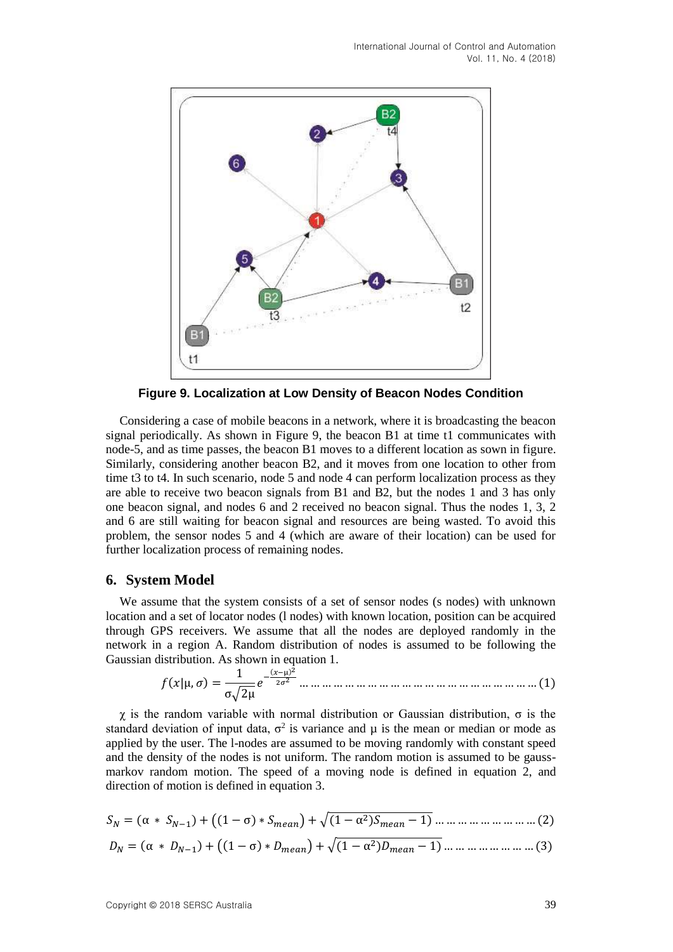<span id="page-8-0"></span>

**Figure 9. Localization at Low Density of Beacon Nodes Condition**

Considering a case of mobile beacons in a network, where it is broadcasting the beacon signal periodically. As shown in [Figure 9,](#page-8-0) the beacon B1 at time t1 communicates with node-5, and as time passes, the beacon B1 moves to a different location as sown in figure. Similarly, considering another beacon B2, and it moves from one location to other from time t3 to t4. In such scenario, node 5 and node 4 can perform localization process as they are able to receive two beacon signals from B1 and B2, but the nodes 1 and 3 has only one beacon signal, and nodes 6 and 2 received no beacon signal. Thus the nodes 1, 3, 2 and 6 are still waiting for beacon signal and resources are being wasted. To avoid this problem, the sensor nodes 5 and 4 (which are aware of their location) can be used for further localization process of remaining nodes.

### **6. System Model**

We assume that the system consists of a set of sensor nodes (s nodes) with unknown location and a set of locator nodes (l nodes) with known location, position can be acquired through GPS receivers. We assume that all the nodes are deployed randomly in the network in a region A. Random distribution of nodes is assumed to be following the Gaussian distribution. As shown i[n equation](#page-8-1) 1.

(|µ, ) = 1 σ√2µ − (−µ) 2 2<sup>2</sup> … … … … … … … … … … … … … … … … … … … … … (1)

<span id="page-8-1"></span>χ is the random variable with normal distribution or Gaussian distribution, σ is the standard deviation of input data,  $\sigma^2$  is variance and  $\mu$  is the mean or median or mode as applied by the user. The l-nodes are assumed to be moving randomly with constant speed and the density of the nodes is not uniform. The random motion is assumed to be gaussmarkov random motion. The speed of a moving node is defined in [equation](#page-8-2) 2, and direction of motion is defined in equation 3.

<span id="page-8-2"></span>
$$
S_N = (\alpha \times S_{N-1}) + ((1 - \sigma) \times S_{mean}) + \sqrt{(1 - \alpha^2) S_{mean} - 1} \dots \dots \dots \dots \dots \dots \dots \dots \dots \dots (2)
$$

$$
D_N = (\alpha * D_{N-1}) + ((1 - \sigma) * D_{mean}) + \sqrt{(1 - \alpha^2)D_{mean} - 1}) \dots \dots \dots \dots \dots \dots \dots \dots \dots (3)
$$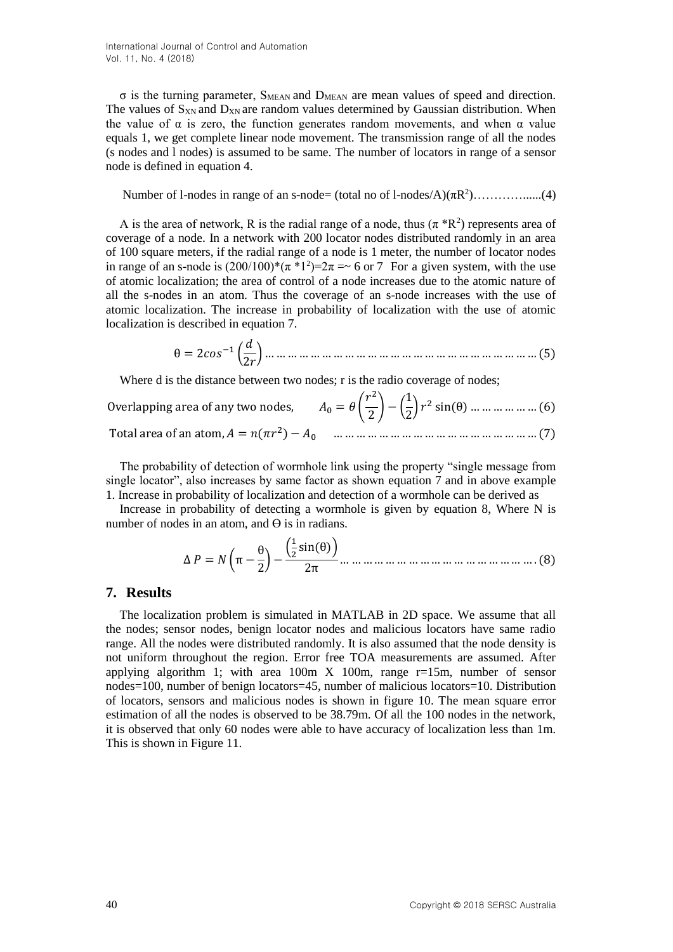$\sigma$  is the turning parameter, S<sub>MEAN</sub> and D<sub>MEAN</sub> are mean values of speed and direction. The values of  $S_{XN}$  and  $D_{XN}$  are random values determined by Gaussian distribution. When the value of  $\alpha$  is zero, the function generates random movements, and when  $\alpha$  value equals 1, we get complete linear node movement. The transmission range of all the nodes (s nodes and l nodes) is assumed to be same. The number of locators in range of a sensor node is defined in [equation](#page-9-0) 4.

<span id="page-9-0"></span>Number of 1-nodes in range of an s-node= (total no of 1-nodes/ $A$ )( $\pi R^2$ )...................(4)

A is the area of network, R is the radial range of a node, thus  $(\pi * R^2)$  represents area of coverage of a node. In a network with 200 locator nodes distributed randomly in an area of 100 square meters, if the radial range of a node is 1 meter, the number of locator nodes in range of an s-node is  $(200/100)^*(\pi * 1^2)=2\pi = 6$  or 7 For a given system, with the use of atomic localization; the area of control of a node increases due to the atomic nature of all the s-nodes in an atom. Thus the coverage of an s-node increases with the use of atomic localization. The increase in probability of localization with the use of atomic localization is described in equation 7.

θ = 2−1 ( 2 ) … … … … … … … … … … … … … … … … … … … … … … … … (5)

Where d is the distance between two nodes; r is the radio coverage of nodes;

| <i>J</i> verlapping area of any two nodes, $A_0 = \theta \left(\frac{r^2}{2}\right) - \left(\frac{1}{2}\right)r^2 \sin(\theta)$ ( <i>€</i> |
|--------------------------------------------------------------------------------------------------------------------------------------------|
|                                                                                                                                            |

The probability of detection of wormhole link using the property "single message from single locator", also increases by same factor as shown equation 7 and in above example 1. Increase in probability of localization and detection of a wormhole can be derived as

Increase in probability of detecting a wormhole is given by [equation 8,](#page-9-1) Where N is number of nodes in an atom, and  $\Theta$  is in radians.

Δ = (π − θ 2 ) − ( 1 2 sin(θ)) 2π … … … … … … … … … … … … … … … … … . (8)

### <span id="page-9-1"></span>**7. Results**

The localization problem is simulated in MATLAB in 2D space. We assume that all the nodes; sensor nodes, benign locator nodes and malicious locators have same radio range. All the nodes were distributed randomly. It is also assumed that the node density is not uniform throughout the region. Error free TOA measurements are assumed. After applying algorithm 1; with area 100m  $\overline{X}$  100m, range r=15m, number of sensor nodes=100, number of benign locators=45, number of malicious locators=10. Distribution of locators, sensors and malicious nodes is shown in figure 10. The mean square error estimation of all the nodes is observed to be 38.79m. Of all the 100 nodes in the network, it is observed that only 60 nodes were able to have accuracy of localization less than 1m. This is shown i[n Figure 11.](#page-10-0)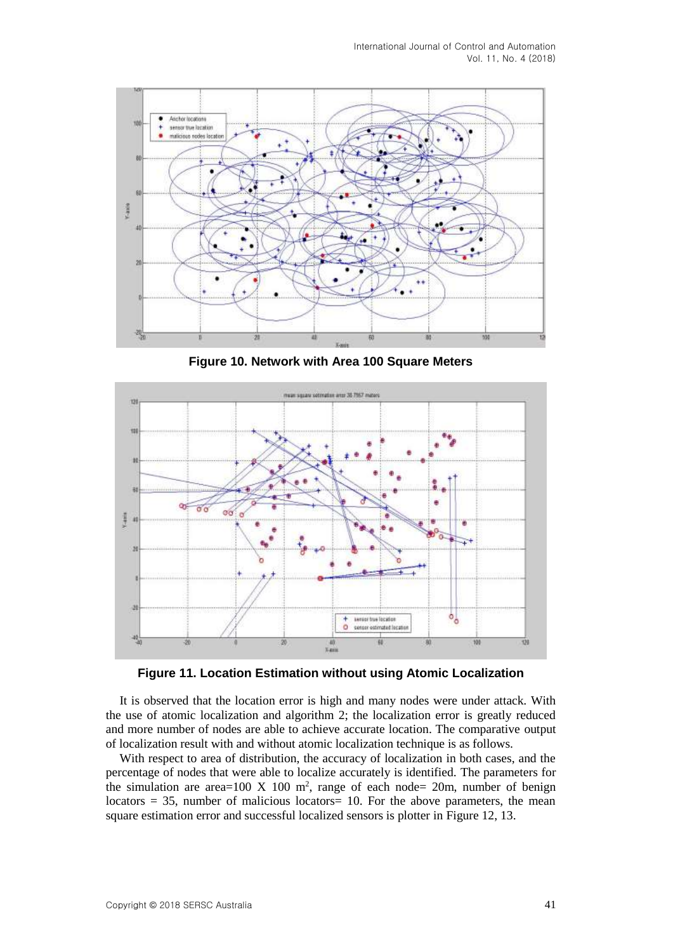International Journal of Control and Automation Vol. 11, No. 4 (2018)



**Figure 10. Network with Area 100 Square Meters**

<span id="page-10-0"></span>

**Figure 11. Location Estimation without using Atomic Localization**

It is observed that the location error is high and many nodes were under attack. With the use of atomic localization and algorithm 2; the localization error is greatly reduced and more number of nodes are able to achieve accurate location. The comparative output of localization result with and without atomic localization technique is as follows.

With respect to area of distribution, the accuracy of localization in both cases, and the percentage of nodes that were able to localize accurately is identified. The parameters for the simulation are area=100 X 100 m<sup>2</sup>, range of each node= 20m, number of benign locators  $= 35$ , number of malicious locators $= 10$ . For the above parameters, the mean square estimation error and successful localized sensors is plotter i[n Figure 12](#page-11-0)[, 13](#page-11-1).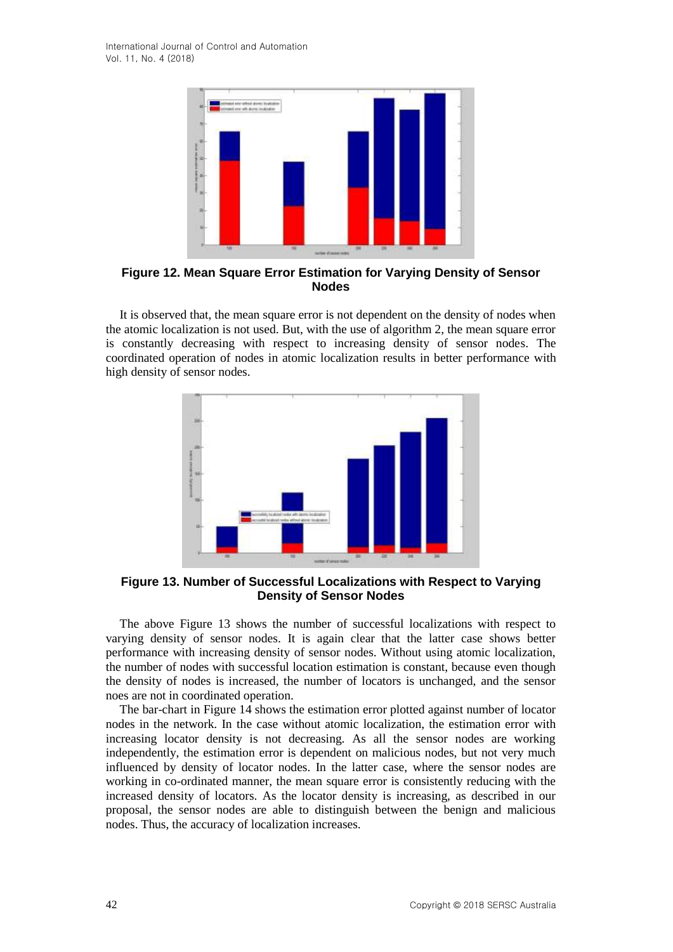<span id="page-11-0"></span>International Journal of Control and Automation Vol. 11, No. 4 (2018)



**Figure 12. Mean Square Error Estimation for Varying Density of Sensor Nodes**

It is observed that, the mean square error is not dependent on the density of nodes when the atomic localization is not used. But, with the use of algorithm 2, the mean square error is constantly decreasing with respect to increasing density of sensor nodes. The coordinated operation of nodes in atomic localization results in better performance with high density of sensor nodes.

<span id="page-11-1"></span>

**Figure 13. Number of Successful Localizations with Respect to Varying Density of Sensor Nodes**

The above [Figure 13](#page-11-1) shows the number of successful localizations with respect to varying density of sensor nodes. It is again clear that the latter case shows better performance with increasing density of sensor nodes. Without using atomic localization, the number of nodes with successful location estimation is constant, because even though the density of nodes is increased, the number of locators is unchanged, and the sensor noes are not in coordinated operation.

The [bar-chart](#page-12-0) in [Figure 14](#page-12-0) shows the estimation error plotted against number of locator nodes in the network. In the case without atomic localization, the estimation error with increasing locator density is not decreasing. As all the sensor nodes are working independently, the estimation error is dependent on malicious nodes, but not very much influenced by density of locator nodes. In the latter case, where the sensor nodes are working in co-ordinated manner, the mean square error is consistently reducing with the increased density of locators. As the locator density is increasing, as described in our proposal, the sensor nodes are able to distinguish between the benign and malicious nodes. Thus, the accuracy of localization increases.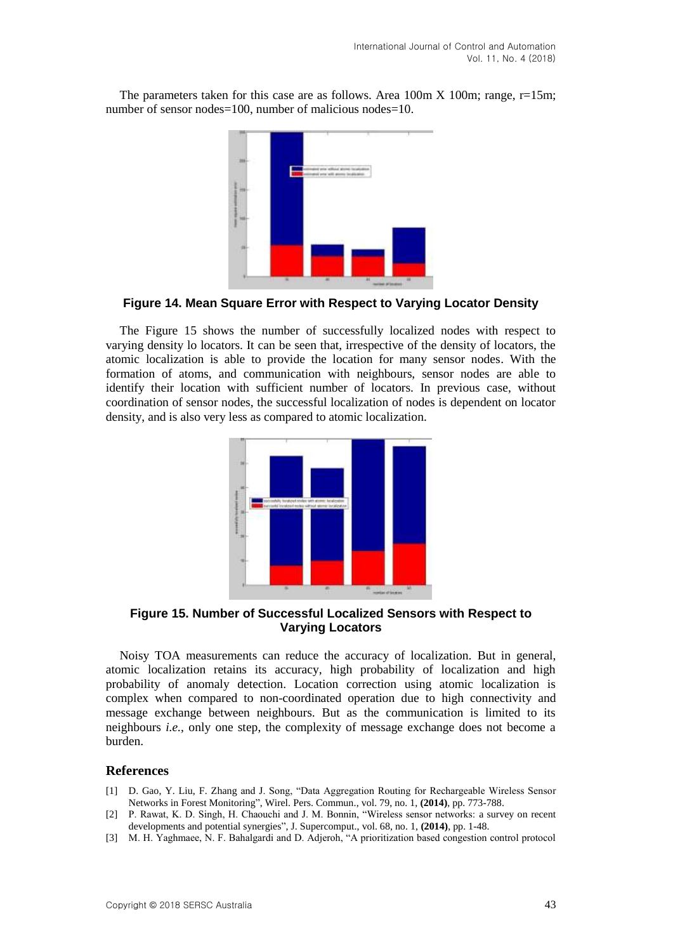<span id="page-12-0"></span>The parameters taken for this case are as follows. Area  $100m X 100m$ ; range, r=15m; number of sensor nodes=100, number of malicious nodes=10.



**Figure 14. Mean Square Error with Respect to Varying Locator Density**

<span id="page-12-1"></span>The [Figure 15](#page-12-1) shows the number of successfully localized nodes with respect to varying density lo locators. It can be seen that, irrespective of the density of locators, the atomic localization is able to provide the location for many sensor nodes. With the formation of atoms, and communication with neighbours, sensor nodes are able to identify their location with sufficient number of locators. In previous case, without coordination of sensor nodes, the successful localization of nodes is dependent on locator density, and is also very less as compared to atomic localization.



**Figure 15. Number of Successful Localized Sensors with Respect to Varying Locators**

Noisy TOA measurements can reduce the accuracy of localization. But in general, atomic localization retains its accuracy, high probability of localization and high probability of anomaly detection. Location correction using atomic localization is complex when compared to non-coordinated operation due to high connectivity and message exchange between neighbours. But as the communication is limited to its neighbours *i.e.*, only one step, the complexity of message exchange does not become a burden.

#### **References**

- [1] D. Gao, Y. Liu, F. Zhang and J. Song, "Data Aggregation Routing for Rechargeable Wireless Sensor Networks in Forest Monitoring", Wirel. Pers. Commun., vol. 79, no. 1, **(2014)**, pp. 773-788.
- [2] P. Rawat, K. D. Singh, H. Chaouchi and J. M. Bonnin, "Wireless sensor networks: a survey on recent developments and potential synergies", J. Supercomput., vol. 68, no. 1, **(2014)**, pp. 1-48.
- [3] M. H. Yaghmaee, N. F. Bahalgardi and D. Adjeroh, "A prioritization based congestion control protocol